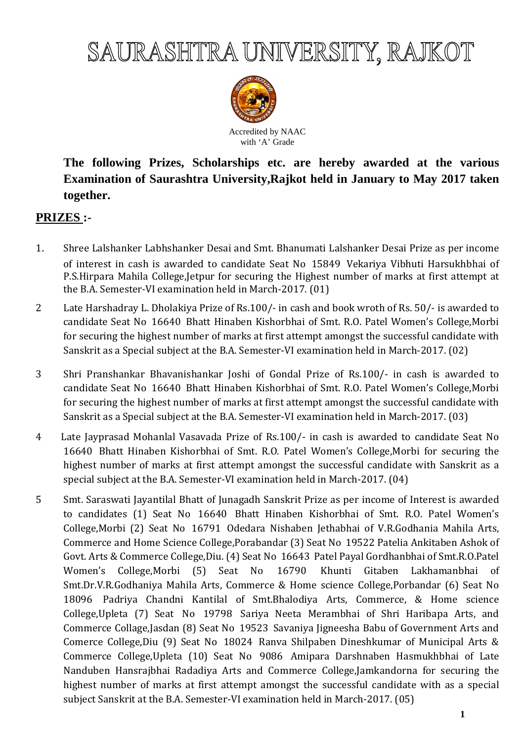

Accredited by NAAC with 'A' Grade

**The following Prizes, Scholarships etc. are hereby awarded at the various Examination of Saurashtra University,Rajkot held in January to May 2017 taken together.** 

# **PRIZES :-**

- 1. Shree Lalshanker Labhshanker Desai and Smt. Bhanumati Lalshanker Desai Prize as per income of interest in cash is awarded to candidate Seat No 15849 Vekariya Vibhuti Harsukhbhai of P.S.Hirpara Mahila College,Jetpur for securing the Highest number of marks at first attempt at the B.A. Semester-VI examination held in March-2017. (01)
- 2 Late Harshadray L. Dholakiya Prize of Rs.100/- in cash and book wroth of Rs. 50/- is awarded to candidate Seat No 16640 Bhatt Hinaben Kishorbhai of Smt. R.O. Patel Women's College,Morbi for securing the highest number of marks at first attempt amongst the successful candidate with Sanskrit as a Special subject at the B.A. Semester-VI examination held in March-2017. (02)
- 3 Shri Pranshankar Bhavanishankar Joshi of Gondal Prize of Rs.100/- in cash is awarded to candidate Seat No 16640 Bhatt Hinaben Kishorbhai of Smt. R.O. Patel Women's College,Morbi for securing the highest number of marks at first attempt amongst the successful candidate with Sanskrit as a Special subject at the B.A. Semester-VI examination held in March-2017. (03)
- 4 Late Jayprasad Mohanlal Vasavada Prize of Rs.100/- in cash is awarded to candidate Seat No 16640 Bhatt Hinaben Kishorbhai of Smt. R.O. Patel Women's College,Morbi for securing the highest number of marks at first attempt amongst the successful candidate with Sanskrit as a special subject at the B.A. Semester-VI examination held in March-2017. (04)
- 5 Smt. Saraswati Jayantilal Bhatt of Junagadh Sanskrit Prize as per income of Interest is awarded to candidates (1) Seat No 16640 Bhatt Hinaben Kishorbhai of Smt. R.O. Patel Women's College,Morbi (2) Seat No 16791 Odedara Nishaben Jethabhai of V.R.Godhania Mahila Arts, Commerce and Home Science College,Porabandar (3) Seat No 19522 Patelia Ankitaben Ashok of Govt. Arts & Commerce College,Diu. (4) Seat No 16643 Patel Payal Gordhanbhai of Smt.R.O.Patel Women's College,Morbi (5) Seat No 16790 Khunti Gitaben Lakhamanbhai of Smt.Dr.V.R.Godhaniya Mahila Arts, Commerce & Home science College,Porbandar (6) Seat No 18096 Padriya Chandni Kantilal of Smt.Bhalodiya Arts, Commerce, & Home science College,Upleta (7) Seat No 19798 Sariya Neeta Merambhai of Shri Haribapa Arts, and Commerce Collage,Jasdan (8) Seat No 19523 Savaniya Jigneesha Babu of Government Arts and Comerce College,Diu (9) Seat No 18024 Ranva Shilpaben Dineshkumar of Municipal Arts & Commerce College,Upleta (10) Seat No 9086 Amipara Darshnaben Hasmukhbhai of Late Nanduben Hansrajbhai Radadiya Arts and Commerce College,Jamkandorna for securing the highest number of marks at first attempt amongst the successful candidate with as a special subject Sanskrit at the B.A. Semester-VI examination held in March-2017. (05)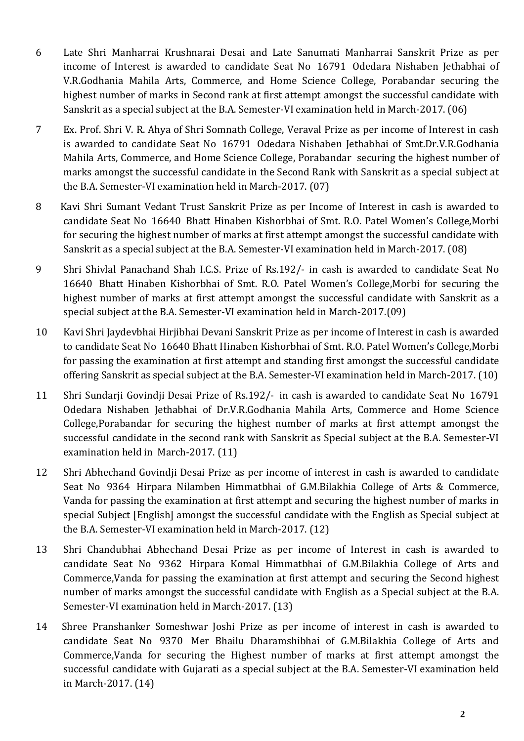- 6 Late Shri Manharrai Krushnarai Desai and Late Sanumati Manharrai Sanskrit Prize as per income of Interest is awarded to candidate Seat No 16791 Odedara Nishaben Jethabhai of V.R.Godhania Mahila Arts, Commerce, and Home Science College, Porabandar securing the highest number of marks in Second rank at first attempt amongst the successful candidate with Sanskrit as a special subject at the B.A. Semester-VI examination held in March-2017. (06)
- 7 Ex. Prof. Shri V. R. Ahya of Shri Somnath College, Veraval Prize as per income of Interest in cash is awarded to candidate Seat No 16791 Odedara Nishaben Jethabhai of Smt.Dr.V.R.Godhania Mahila Arts, Commerce, and Home Science College, Porabandar securing the highest number of marks amongst the successful candidate in the Second Rank with Sanskrit as a special subject at the B.A. Semester-VI examination held in March-2017. (07)
- 8 Kavi Shri Sumant Vedant Trust Sanskrit Prize as per Income of Interest in cash is awarded to candidate Seat No 16640 Bhatt Hinaben Kishorbhai of Smt. R.O. Patel Women's College,Morbi for securing the highest number of marks at first attempt amongst the successful candidate with Sanskrit as a special subject at the B.A. Semester-VI examination held in March-2017. (08)
- 9 Shri Shivlal Panachand Shah I.C.S. Prize of Rs.192/- in cash is awarded to candidate Seat No 16640 Bhatt Hinaben Kishorbhai of Smt. R.O. Patel Women's College,Morbi for securing the highest number of marks at first attempt amongst the successful candidate with Sanskrit as a special subject at the B.A. Semester-VI examination held in March-2017.(09)
- 10 Kavi Shri Jaydevbhai Hirjibhai Devani Sanskrit Prize as per income of Interest in cash is awarded to candidate Seat No 16640 Bhatt Hinaben Kishorbhai of Smt. R.O. Patel Women's College,Morbi for passing the examination at first attempt and standing first amongst the successful candidate offering Sanskrit as special subject at the B.A. Semester-VI examination held in March-2017. (10)
- 11 Shri Sundarji Govindji Desai Prize of Rs.192/- in cash is awarded to candidate Seat No 16791 Odedara Nishaben Jethabhai of Dr.V.R.Godhania Mahila Arts, Commerce and Home Science College,Porabandar for securing the highest number of marks at first attempt amongst the successful candidate in the second rank with Sanskrit as Special subject at the B.A. Semester-VI examination held in March-2017. (11)
- 12 Shri Abhechand Govindji Desai Prize as per income of interest in cash is awarded to candidate Seat No 9364 Hirpara Nilamben Himmatbhai of G.M.Bilakhia College of Arts & Commerce, Vanda for passing the examination at first attempt and securing the highest number of marks in special Subject [English] amongst the successful candidate with the English as Special subject at the B.A. Semester-VI examination held in March-2017. (12)
- 13 Shri Chandubhai Abhechand Desai Prize as per income of Interest in cash is awarded to candidate Seat No 9362 Hirpara Komal Himmatbhai of G.M.Bilakhia College of Arts and Commerce,Vanda for passing the examination at first attempt and securing the Second highest number of marks amongst the successful candidate with English as a Special subject at the B.A. Semester-VI examination held in March-2017. (13)
- 14 Shree Pranshanker Someshwar Joshi Prize as per income of interest in cash is awarded to candidate Seat No 9370 Mer Bhailu Dharamshibhai of G.M.Bilakhia College of Arts and Commerce,Vanda for securing the Highest number of marks at first attempt amongst the successful candidate with Gujarati as a special subject at the B.A. Semester-VI examination held in March-2017. (14)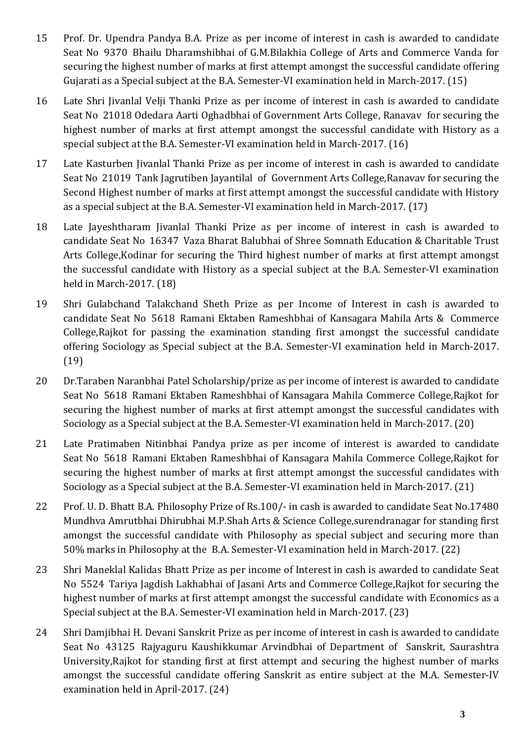- 15 Prof. Dr. Upendra Pandya B.A. Prize as per income of interest in cash is awarded to candidate Seat No 9370 Bhailu Dharamshibhai of G.M.Bilakhia College of Arts and Commerce Vanda for securing the highest number of marks at first attempt amongst the successful candidate offering Gujarati as a Special subject at the B.A. Semester-VI examination held in March-2017. (15)
- 16 Late Shri Jivanlal Velji Thanki Prize as per income of interest in cash is awarded to candidate Seat No 21018 Odedara Aarti Oghadbhai of Government Arts College, Ranavav for securing the highest number of marks at first attempt amongst the successful candidate with History as a special subject at the B.A. Semester-VI examination held in March-2017. (16)
- 17 Late Kasturben Jivanlal Thanki Prize as per income of interest in cash is awarded to candidate Seat No 21019 Tank Jagrutiben Jayantilal of Government Arts College,Ranavav for securing the Second Highest number of marks at first attempt amongst the successful candidate with History as a special subject at the B.A. Semester-VI examination held in March-2017. (17)
- 18 Late Jayeshtharam Jivanlal Thanki Prize as per income of interest in cash is awarded to candidate Seat No 16347 Vaza Bharat Balubhai of Shree Somnath Education & Charitable Trust Arts College,Kodinar for securing the Third highest number of marks at first attempt amongst the successful candidate with History as a special subject at the B.A. Semester-VI examination held in March-2017. (18)
- 19 Shri Gulabchand Talakchand Sheth Prize as per Income of Interest in cash is awarded to candidate Seat No 5618 Ramani Ektaben Rameshbhai of Kansagara Mahila Arts & Commerce College,Rajkot for passing the examination standing first amongst the successful candidate offering Sociology as Special subject at the B.A. Semester-VI examination held in March-2017. (19)
- 20 Dr.Taraben Naranbhai Patel Scholarship/prize as per income of interest is awarded to candidate Seat No 5618 Ramani Ektaben Rameshbhai of Kansagara Mahila Commerce College,Rajkot for securing the highest number of marks at first attempt amongst the successful candidates with Sociology as a Special subject at the B.A. Semester-VI examination held in March-2017. (20)
- 21 Late Pratimaben Nitinbhai Pandya prize as per income of interest is awarded to candidate Seat No 5618 Ramani Ektaben Rameshbhai of Kansagara Mahila Commerce College,Rajkot for securing the highest number of marks at first attempt amongst the successful candidates with Sociology as a Special subject at the B.A. Semester-VI examination held in March-2017. (21)
- 22 Prof. U. D. Bhatt B.A. Philosophy Prize of Rs.100/- in cash is awarded to candidate Seat No.17480 Mundhva Amrutbhai Dhirubhai M.P.Shah Arts & Science College,surendranagar for standing first amongst the successful candidate with Philosophy as special subject and securing more than 50% marks in Philosophy at the B.A. Semester-VI examination held in March-2017. (22)
- 23 Shri Maneklal Kalidas Bhatt Prize as per income of Interest in cash is awarded to candidate Seat No 5524 Tariya Jagdish Lakhabhai of Jasani Arts and Commerce College,Rajkot for securing the highest number of marks at first attempt amongst the successful candidate with Economics as a Special subject at the B.A. Semester-VI examination held in March-2017. (23)
- 24 Shri Damjibhai H. Devani Sanskrit Prize as per income of interest in cash is awarded to candidate Seat No 43125 Rajyaguru Kaushikkumar Arvindbhai of Department of Sanskrit, Saurashtra University,Rajkot for standing first at first attempt and securing the highest number of marks amongst the successful candidate offering Sanskrit as entire subject at the M.A. Semester-IV examination held in April-2017. (24)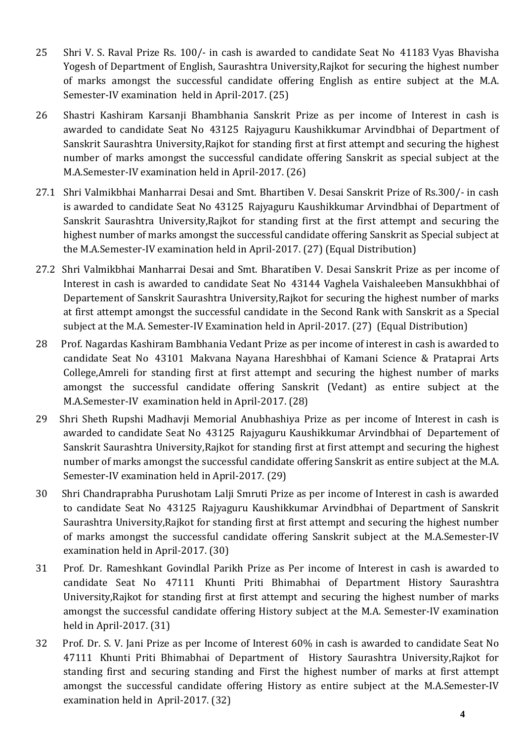- 25 Shri V. S. Raval Prize Rs. 100/- in cash is awarded to candidate Seat No 41183 Vyas Bhavisha Yogesh of Department of English, Saurashtra University,Rajkot for securing the highest number of marks amongst the successful candidate offering English as entire subject at the M.A. Semester-IV examination held in April-2017. (25)
- 26 Shastri Kashiram Karsanji Bhambhania Sanskrit Prize as per income of Interest in cash is awarded to candidate Seat No 43125 Rajyaguru Kaushikkumar Arvindbhai of Department of Sanskrit Saurashtra University,Rajkot for standing first at first attempt and securing the highest number of marks amongst the successful candidate offering Sanskrit as special subject at the M.A.Semester-IV examination held in April-2017. (26)
- 27.1 Shri Valmikbhai Manharrai Desai and Smt. Bhartiben V. Desai Sanskrit Prize of Rs.300/- in cash is awarded to candidate Seat No 43125 Rajyaguru Kaushikkumar Arvindbhai of Department of Sanskrit Saurashtra University,Rajkot for standing first at the first attempt and securing the highest number of marks amongst the successful candidate offering Sanskrit as Special subject at the M.A.Semester-IV examination held in April-2017. (27) (Equal Distribution)
- 27.2 Shri Valmikbhai Manharrai Desai and Smt. Bharatiben V. Desai Sanskrit Prize as per income of Interest in cash is awarded to candidate Seat No 43144 Vaghela Vaishaleeben Mansukhbhai of Departement of Sanskrit Saurashtra University,Rajkot for securing the highest number of marks at first attempt amongst the successful candidate in the Second Rank with Sanskrit as a Special subject at the M.A. Semester-IV Examination held in April-2017. (27) (Equal Distribution)
- 28 Prof. Nagardas Kashiram Bambhania Vedant Prize as per income of interest in cash is awarded to candidate Seat No 43101 Makvana Nayana Hareshbhai of Kamani Science & Prataprai Arts College,Amreli for standing first at first attempt and securing the highest number of marks amongst the successful candidate offering Sanskrit (Vedant) as entire subject at the M.A.Semester-IV examination held in April-2017. (28)
- 29 Shri Sheth Rupshi Madhavji Memorial Anubhashiya Prize as per income of Interest in cash is awarded to candidate Seat No 43125 Rajyaguru Kaushikkumar Arvindbhai of Departement of Sanskrit Saurashtra University,Rajkot for standing first at first attempt and securing the highest number of marks amongst the successful candidate offering Sanskrit as entire subject at the M.A. Semester-IV examination held in April-2017. (29)
- 30 Shri Chandraprabha Purushotam Lalji Smruti Prize as per income of Interest in cash is awarded to candidate Seat No 43125 Rajyaguru Kaushikkumar Arvindbhai of Department of Sanskrit Saurashtra University,Rajkot for standing first at first attempt and securing the highest number of marks amongst the successful candidate offering Sanskrit subject at the M.A.Semester-IV examination held in April-2017. (30)
- 31 Prof. Dr. Rameshkant Govindlal Parikh Prize as Per income of Interest in cash is awarded to candidate Seat No 47111 Khunti Priti Bhimabhai of Department History Saurashtra University,Rajkot for standing first at first attempt and securing the highest number of marks amongst the successful candidate offering History subject at the M.A. Semester-IV examination held in April-2017. (31)
- 32 Prof. Dr. S. V. Jani Prize as per Income of Interest 60% in cash is awarded to candidate Seat No 47111 Khunti Priti Bhimabhai of Department of History Saurashtra University,Rajkot for standing first and securing standing and First the highest number of marks at first attempt amongst the successful candidate offering History as entire subject at the M.A.Semester-IV examination held in April-2017. (32)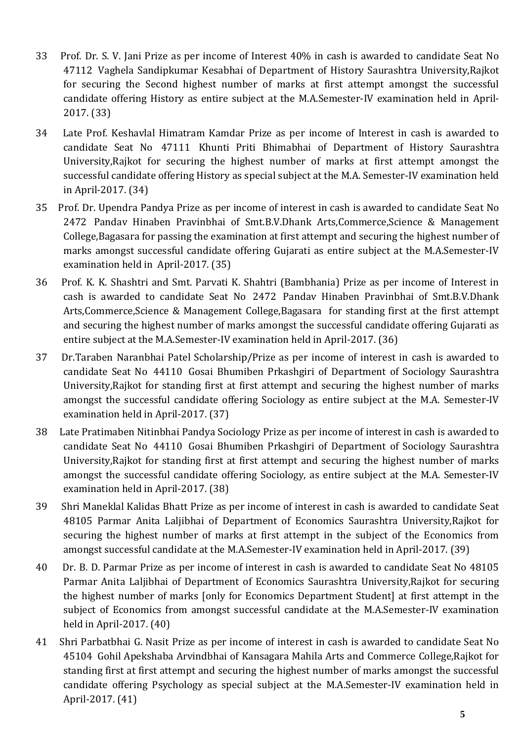- 33 Prof. Dr. S. V. Jani Prize as per income of Interest 40% in cash is awarded to candidate Seat No 47112 Vaghela Sandipkumar Kesabhai of Department of History Saurashtra University,Rajkot for securing the Second highest number of marks at first attempt amongst the successful candidate offering History as entire subject at the M.A.Semester-IV examination held in April-2017. (33)
- 34 Late Prof. Keshavlal Himatram Kamdar Prize as per income of Interest in cash is awarded to candidate Seat No 47111 Khunti Priti Bhimabhai of Department of History Saurashtra University,Rajkot for securing the highest number of marks at first attempt amongst the successful candidate offering History as special subject at the M.A. Semester-IV examination held in April-2017. (34)
- 35 Prof. Dr. Upendra Pandya Prize as per income of interest in cash is awarded to candidate Seat No 2472 Pandav Hinaben Pravinbhai of Smt.B.V.Dhank Arts,Commerce,Science & Management College,Bagasara for passing the examination at first attempt and securing the highest number of marks amongst successful candidate offering Gujarati as entire subject at the M.A.Semester-IV examination held in April-2017. (35)
- 36 Prof. K. K. Shashtri and Smt. Parvati K. Shahtri (Bambhania) Prize as per income of Interest in cash is awarded to candidate Seat No 2472 Pandav Hinaben Pravinbhai of Smt.B.V.Dhank Arts,Commerce,Science & Management College,Bagasara for standing first at the first attempt and securing the highest number of marks amongst the successful candidate offering Gujarati as entire subject at the M.A.Semester-IV examination held in April-2017. (36)
- 37 Dr.Taraben Naranbhai Patel Scholarship/Prize as per income of interest in cash is awarded to candidate Seat No 44110 Gosai Bhumiben Prkashgiri of Department of Sociology Saurashtra University,Rajkot for standing first at first attempt and securing the highest number of marks amongst the successful candidate offering Sociology as entire subject at the M.A. Semester-IV examination held in April-2017. (37)
- 38 Late Pratimaben Nitinbhai Pandya Sociology Prize as per income of interest in cash is awarded to candidate Seat No 44110 Gosai Bhumiben Prkashgiri of Department of Sociology Saurashtra University,Rajkot for standing first at first attempt and securing the highest number of marks amongst the successful candidate offering Sociology, as entire subject at the M.A. Semester-IV examination held in April-2017. (38)
- 39 Shri Maneklal Kalidas Bhatt Prize as per income of interest in cash is awarded to candidate Seat 48105 Parmar Anita Laljibhai of Department of Economics Saurashtra University,Rajkot for securing the highest number of marks at first attempt in the subject of the Economics from amongst successful candidate at the M.A.Semester-IV examination held in April-2017. (39)
- 40 Dr. B. D. Parmar Prize as per income of interest in cash is awarded to candidate Seat No 48105 Parmar Anita Laljibhai of Department of Economics Saurashtra University,Rajkot for securing the highest number of marks [only for Economics Department Student] at first attempt in the subject of Economics from amongst successful candidate at the M.A.Semester-IV examination held in April-2017. (40)
- 41 Shri Parbatbhai G. Nasit Prize as per income of interest in cash is awarded to candidate Seat No 45104 Gohil Apekshaba Arvindbhai of Kansagara Mahila Arts and Commerce College,Rajkot for standing first at first attempt and securing the highest number of marks amongst the successful candidate offering Psychology as special subject at the M.A.Semester-IV examination held in April-2017. (41)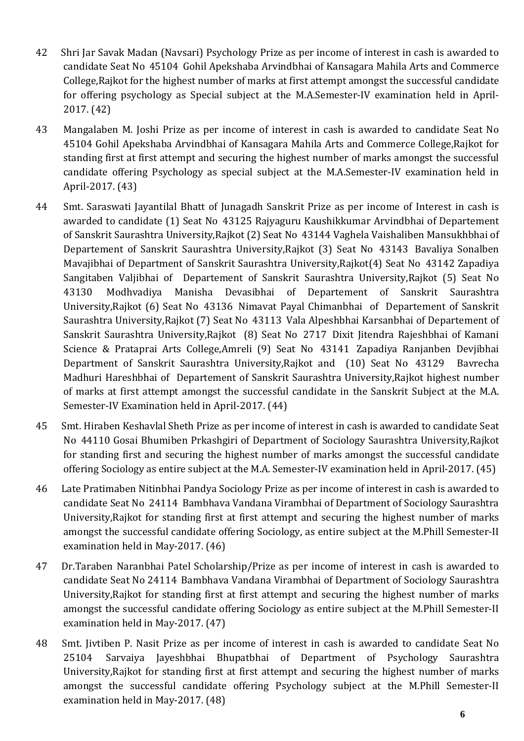- 42 Shri Jar Savak Madan (Navsari) Psychology Prize as per income of interest in cash is awarded to candidate Seat No 45104 Gohil Apekshaba Arvindbhai of Kansagara Mahila Arts and Commerce College,Rajkot for the highest number of marks at first attempt amongst the successful candidate for offering psychology as Special subject at the M.A.Semester-IV examination held in April-2017. (42)
- 43 Mangalaben M. Joshi Prize as per income of interest in cash is awarded to candidate Seat No 45104 Gohil Apekshaba Arvindbhai of Kansagara Mahila Arts and Commerce College,Rajkot for standing first at first attempt and securing the highest number of marks amongst the successful candidate offering Psychology as special subject at the M.A.Semester-IV examination held in April-2017. (43)
- 44 Smt. Saraswati Jayantilal Bhatt of Junagadh Sanskrit Prize as per income of Interest in cash is awarded to candidate (1) Seat No 43125 Rajyaguru Kaushikkumar Arvindbhai of Departement of Sanskrit Saurashtra University,Rajkot (2) Seat No 43144 Vaghela Vaishaliben Mansukhbhai of Departement of Sanskrit Saurashtra University,Rajkot (3) Seat No 43143 Bavaliya Sonalben Mavajibhai of Department of Sanskrit Saurashtra University,Rajkot(4) Seat No 43142 Zapadiya Sangitaben Valjibhai of Departement of Sanskrit Saurashtra University,Rajkot (5) Seat No 43130 Modhvadiya Manisha Devasibhai of Departement of Sanskrit Saurashtra University,Rajkot (6) Seat No 43136 Nimavat Payal Chimanbhai of Departement of Sanskrit Saurashtra University,Rajkot (7) Seat No 43113 Vala Alpeshbhai Karsanbhai of Departement of Sanskrit Saurashtra University,Rajkot (8) Seat No 2717 Dixit Jitendra Rajeshbhai of Kamani Science & Prataprai Arts College,Amreli (9) Seat No 43141 Zapadiya Ranjanben Devjibhai Department of Sanskrit Saurashtra University,Rajkot and (10) Seat No 43129 Bavrecha Madhuri Hareshbhai of Departement of Sanskrit Saurashtra University,Rajkot highest number of marks at first attempt amongst the successful candidate in the Sanskrit Subject at the M.A. Semester-IV Examination held in April-2017. (44)
- 45 Smt. Hiraben Keshavlal Sheth Prize as per income of interest in cash is awarded to candidate Seat No 44110 Gosai Bhumiben Prkashgiri of Department of Sociology Saurashtra University,Rajkot for standing first and securing the highest number of marks amongst the successful candidate offering Sociology as entire subject at the M.A. Semester-IV examination held in April-2017. (45)
- 46 Late Pratimaben Nitinbhai Pandya Sociology Prize as per income of interest in cash is awarded to candidate Seat No 24114 Bambhava Vandana Virambhai of Department of Sociology Saurashtra University,Rajkot for standing first at first attempt and securing the highest number of marks amongst the successful candidate offering Sociology, as entire subject at the M.Phill Semester-II examination held in May-2017. (46)
- 47 Dr.Taraben Naranbhai Patel Scholarship/Prize as per income of interest in cash is awarded to candidate Seat No 24114 Bambhava Vandana Virambhai of Department of Sociology Saurashtra University,Rajkot for standing first at first attempt and securing the highest number of marks amongst the successful candidate offering Sociology as entire subject at the M.Phill Semester-II examination held in May-2017. (47)
- 48 Smt. Jivtiben P. Nasit Prize as per income of interest in cash is awarded to candidate Seat No 25104 Sarvaiya Jayeshbhai Bhupatbhai of Department of Psychology Saurashtra University,Rajkot for standing first at first attempt and securing the highest number of marks amongst the successful candidate offering Psychology subject at the M.Phill Semester-II examination held in May-2017. (48)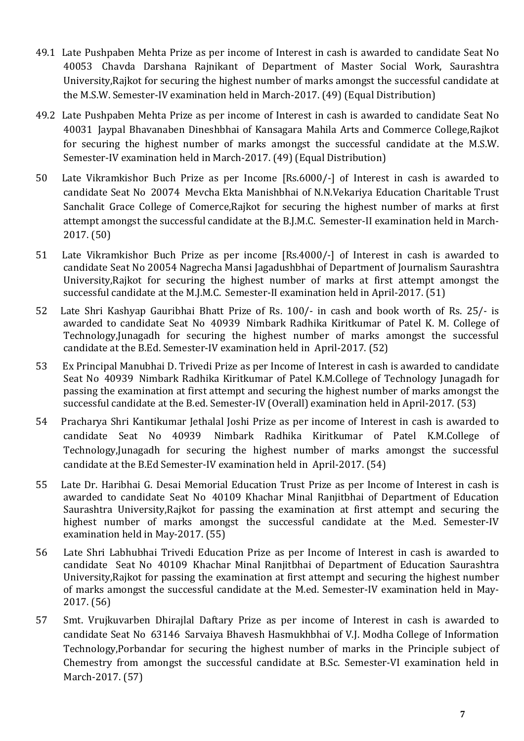- 49.1 Late Pushpaben Mehta Prize as per income of Interest in cash is awarded to candidate Seat No 40053 Chavda Darshana Rajnikant of Department of Master Social Work, Saurashtra University,Rajkot for securing the highest number of marks amongst the successful candidate at the M.S.W. Semester-IV examination held in March-2017. (49) (Equal Distribution)
- 49.2 Late Pushpaben Mehta Prize as per income of Interest in cash is awarded to candidate Seat No 40031 Jaypal Bhavanaben Dineshbhai of Kansagara Mahila Arts and Commerce College,Rajkot for securing the highest number of marks amongst the successful candidate at the M.S.W. Semester-IV examination held in March-2017. (49) (Equal Distribution)
- 50 Late Vikramkishor Buch Prize as per Income [Rs.6000/-] of Interest in cash is awarded to candidate Seat No 20074 Mevcha Ekta Manishbhai of N.N.Vekariya Education Charitable Trust Sanchalit Grace College of Comerce,Rajkot for securing the highest number of marks at first attempt amongst the successful candidate at the B.J.M.C. Semester-II examination held in March-2017. (50)
- 51 Late Vikramkishor Buch Prize as per income [Rs.4000/-] of Interest in cash is awarded to candidate Seat No 20054 Nagrecha Mansi Jagadushbhai of Department of Journalism Saurashtra University,Rajkot for securing the highest number of marks at first attempt amongst the successful candidate at the M.J.M.C. Semester-II examination held in April-2017. (51)
- 52 Late Shri Kashyap Gauribhai Bhatt Prize of Rs. 100/- in cash and book worth of Rs. 25/- is awarded to candidate Seat No 40939 Nimbark Radhika Kiritkumar of Patel K. M. College of Technology,Junagadh for securing the highest number of marks amongst the successful candidate at the B.Ed. Semester-IV examination held in April-2017. (52)
- 53 Ex Principal Manubhai D. Trivedi Prize as per Income of Interest in cash is awarded to candidate Seat No 40939 Nimbark Radhika Kiritkumar of Patel K.M.College of Technology Junagadh for passing the examination at first attempt and securing the highest number of marks amongst the successful candidate at the B.ed. Semester-IV (Overall) examination held in April-2017. (53)
- 54 Pracharya Shri Kantikumar Jethalal Joshi Prize as per income of Interest in cash is awarded to candidate Seat No 40939 Nimbark Radhika Kiritkumar of Patel K.M.College of Technology,Junagadh for securing the highest number of marks amongst the successful candidate at the B.Ed Semester-IV examination held in April-2017. (54)
- 55 Late Dr. Haribhai G. Desai Memorial Education Trust Prize as per Income of Interest in cash is awarded to candidate Seat No 40109 Khachar Minal Ranjitbhai of Department of Education Saurashtra University,Rajkot for passing the examination at first attempt and securing the highest number of marks amongst the successful candidate at the M.ed. Semester-IV examination held in May-2017. (55)
- 56 Late Shri Labhubhai Trivedi Education Prize as per Income of Interest in cash is awarded to candidate Seat No 40109 Khachar Minal Ranjitbhai of Department of Education Saurashtra University,Rajkot for passing the examination at first attempt and securing the highest number of marks amongst the successful candidate at the M.ed. Semester-IV examination held in May-2017. (56)
- 57 Smt. Vrujkuvarben Dhirajlal Daftary Prize as per income of Interest in cash is awarded to candidate Seat No 63146 Sarvaiya Bhavesh Hasmukhbhai of V.J. Modha College of Information Technology,Porbandar for securing the highest number of marks in the Principle subject of Chemestry from amongst the successful candidate at B.Sc. Semester-VI examination held in March-2017. (57)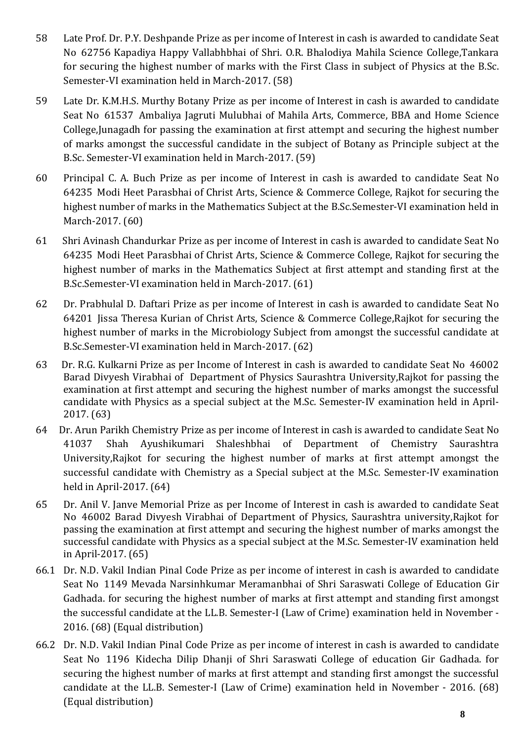- 58 Late Prof. Dr. P.Y. Deshpande Prize as per income of Interest in cash is awarded to candidate Seat No 62756 Kapadiya Happy Vallabhbhai of Shri. O.R. Bhalodiya Mahila Science College,Tankara for securing the highest number of marks with the First Class in subject of Physics at the B.Sc. Semester-VI examination held in March-2017. (58)
- 59 Late Dr. K.M.H.S. Murthy Botany Prize as per income of Interest in cash is awarded to candidate Seat No 61537 Ambaliya Jagruti Mulubhai of Mahila Arts, Commerce, BBA and Home Science College,Junagadh for passing the examination at first attempt and securing the highest number of marks amongst the successful candidate in the subject of Botany as Principle subject at the B.Sc. Semester-VI examination held in March-2017. (59)
- 60 Principal C. A. Buch Prize as per income of Interest in cash is awarded to candidate Seat No 64235 Modi Heet Parasbhai of Christ Arts, Science & Commerce College, Rajkot for securing the highest number of marks in the Mathematics Subject at the B.Sc.Semester-VI examination held in March-2017. (60)
- 61 Shri Avinash Chandurkar Prize as per income of Interest in cash is awarded to candidate Seat No 64235 Modi Heet Parasbhai of Christ Arts, Science & Commerce College, Rajkot for securing the highest number of marks in the Mathematics Subject at first attempt and standing first at the B.Sc.Semester-VI examination held in March-2017. (61)
- 62 Dr. Prabhulal D. Daftari Prize as per income of Interest in cash is awarded to candidate Seat No 64201 Jissa Theresa Kurian of Christ Arts, Science & Commerce College,Rajkot for securing the highest number of marks in the Microbiology Subject from amongst the successful candidate at B.Sc.Semester-VI examination held in March-2017. (62)
- 63 Dr. R.G. Kulkarni Prize as per Income of Interest in cash is awarded to candidate Seat No 46002 Barad Divyesh Virabhai of Department of Physics Saurashtra University,Rajkot for passing the examination at first attempt and securing the highest number of marks amongst the successful candidate with Physics as a special subject at the M.Sc. Semester-IV examination held in April-2017. (63)
- 64 Dr. Arun Parikh Chemistry Prize as per income of Interest in cash is awarded to candidate Seat No 41037 Shah Ayushikumari Shaleshbhai of Department of Chemistry Saurashtra University,Rajkot for securing the highest number of marks at first attempt amongst the successful candidate with Chemistry as a Special subject at the M.Sc. Semester-IV examination held in April-2017. (64)
- 65 Dr. Anil V. Janve Memorial Prize as per Income of Interest in cash is awarded to candidate Seat No 46002 Barad Divyesh Virabhai of Department of Physics, Saurashtra university,Rajkot for passing the examination at first attempt and securing the highest number of marks amongst the successful candidate with Physics as a special subject at the M.Sc. Semester-IV examination held in April-2017. (65)
- 66.1 Dr. N.D. Vakil Indian Pinal Code Prize as per income of interest in cash is awarded to candidate Seat No 1149 Mevada Narsinhkumar Meramanbhai of Shri Saraswati College of Education Gir Gadhada. for securing the highest number of marks at first attempt and standing first amongst the successful candidate at the LL.B. Semester-I (Law of Crime) examination held in November - 2016. (68) (Equal distribution)
- 66.2 Dr. N.D. Vakil Indian Pinal Code Prize as per income of interest in cash is awarded to candidate Seat No 1196 Kidecha Dilip Dhanji of Shri Saraswati College of education Gir Gadhada. for securing the highest number of marks at first attempt and standing first amongst the successful candidate at the LL.B. Semester-I (Law of Crime) examination held in November - 2016. (68) (Equal distribution)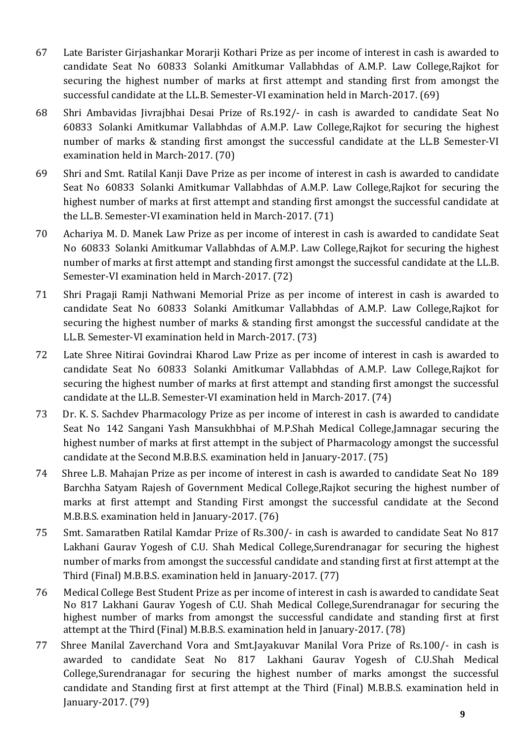- 67 Late Barister Girjashankar Morarji Kothari Prize as per income of interest in cash is awarded to candidate Seat No 60833 Solanki Amitkumar Vallabhdas of A.M.P. Law College,Rajkot for securing the highest number of marks at first attempt and standing first from amongst the successful candidate at the LL.B. Semester-VI examination held in March-2017. (69)
- 68 Shri Ambavidas Jivrajbhai Desai Prize of Rs.192/- in cash is awarded to candidate Seat No 60833 Solanki Amitkumar Vallabhdas of A.M.P. Law College,Rajkot for securing the highest number of marks & standing first amongst the successful candidate at the LL.B Semester-VI examination held in March-2017. (70)
- 69 Shri and Smt. Ratilal Kanji Dave Prize as per income of interest in cash is awarded to candidate Seat No 60833 Solanki Amitkumar Vallabhdas of A.M.P. Law College,Rajkot for securing the highest number of marks at first attempt and standing first amongst the successful candidate at the LL.B. Semester-VI examination held in March-2017. (71)
- 70 Achariya M. D. Manek Law Prize as per income of interest in cash is awarded to candidate Seat No 60833 Solanki Amitkumar Vallabhdas of A.M.P. Law College,Rajkot for securing the highest number of marks at first attempt and standing first amongst the successful candidate at the LL.B. Semester-VI examination held in March-2017. (72)
- 71 Shri Pragaji Ramji Nathwani Memorial Prize as per income of interest in cash is awarded to candidate Seat No 60833 Solanki Amitkumar Vallabhdas of A.M.P. Law College,Rajkot for securing the highest number of marks & standing first amongst the successful candidate at the LL.B. Semester-VI examination held in March-2017. (73)
- 72 Late Shree Nitirai Govindrai Kharod Law Prize as per income of interest in cash is awarded to candidate Seat No 60833 Solanki Amitkumar Vallabhdas of A.M.P. Law College,Rajkot for securing the highest number of marks at first attempt and standing first amongst the successful candidate at the LL.B. Semester-VI examination held in March-2017. (74)
- 73 Dr. K. S. Sachdev Pharmacology Prize as per income of interest in cash is awarded to candidate Seat No 142 Sangani Yash Mansukhbhai of M.P.Shah Medical College,Jamnagar securing the highest number of marks at first attempt in the subject of Pharmacology amongst the successful candidate at the Second M.B.B.S. examination held in January-2017. (75)
- 74 Shree L.B. Mahajan Prize as per income of interest in cash is awarded to candidate Seat No 189 Barchha Satyam Rajesh of Government Medical College,Rajkot securing the highest number of marks at first attempt and Standing First amongst the successful candidate at the Second M.B.B.S. examination held in January-2017. (76)
- 75 Smt. Samaratben Ratilal Kamdar Prize of Rs.300/- in cash is awarded to candidate Seat No 817 Lakhani Gaurav Yogesh of C.U. Shah Medical College,Surendranagar for securing the highest number of marks from amongst the successful candidate and standing first at first attempt at the Third (Final) M.B.B.S. examination held in January-2017. (77)
- 76 Medical College Best Student Prize as per income of interest in cash is awarded to candidate Seat No 817 Lakhani Gaurav Yogesh of C.U. Shah Medical College,Surendranagar for securing the highest number of marks from amongst the successful candidate and standing first at first attempt at the Third (Final) M.B.B.S. examination held in January-2017. (78)
- **9** 77 Shree Manilal Zaverchand Vora and Smt.Jayakuvar Manilal Vora Prize of Rs.100/- in cash is awarded to candidate Seat No 817 Lakhani Gaurav Yogesh of C.U.Shah Medical College,Surendranagar for securing the highest number of marks amongst the successful candidate and Standing first at first attempt at the Third (Final) M.B.B.S. examination held in January-2017. (79)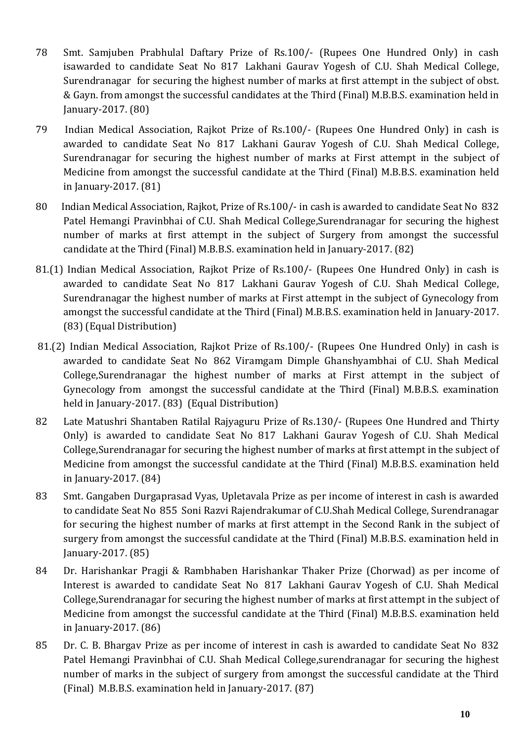- 78 Smt. Samjuben Prabhulal Daftary Prize of Rs.100/- (Rupees One Hundred Only) in cash isawarded to candidate Seat No 817 Lakhani Gaurav Yogesh of C.U. Shah Medical College, Surendranagar for securing the highest number of marks at first attempt in the subject of obst. & Gayn. from amongst the successful candidates at the Third (Final) M.B.B.S. examination held in January-2017. (80)
- 79 Indian Medical Association, Rajkot Prize of Rs.100/- (Rupees One Hundred Only) in cash is awarded to candidate Seat No 817 Lakhani Gaurav Yogesh of C.U. Shah Medical College, Surendranagar for securing the highest number of marks at First attempt in the subject of Medicine from amongst the successful candidate at the Third (Final) M.B.B.S. examination held in January-2017. (81)
- 80 Indian Medical Association, Rajkot, Prize of Rs.100/- in cash is awarded to candidate Seat No 832 Patel Hemangi Pravinbhai of C.U. Shah Medical College,Surendranagar for securing the highest number of marks at first attempt in the subject of Surgery from amongst the successful candidate at the Third (Final) M.B.B.S. examination held in January-2017. (82)
- 81.(1) Indian Medical Association, Rajkot Prize of Rs.100/- (Rupees One Hundred Only) in cash is awarded to candidate Seat No 817 Lakhani Gaurav Yogesh of C.U. Shah Medical College, Surendranagar the highest number of marks at First attempt in the subject of Gynecology from amongst the successful candidate at the Third (Final) M.B.B.S. examination held in January-2017. (83) (Equal Distribution)
- 81.(2) Indian Medical Association, Rajkot Prize of Rs.100/- (Rupees One Hundred Only) in cash is awarded to candidate Seat No 862 Viramgam Dimple Ghanshyambhai of C.U. Shah Medical College,Surendranagar the highest number of marks at First attempt in the subject of Gynecology from amongst the successful candidate at the Third (Final) M.B.B.S. examination held in January-2017. (83) (Equal Distribution)
- 82 Late Matushri Shantaben Ratilal Rajyaguru Prize of Rs.130/- (Rupees One Hundred and Thirty Only) is awarded to candidate Seat No 817 Lakhani Gaurav Yogesh of C.U. Shah Medical College,Surendranagar for securing the highest number of marks at first attempt in the subject of Medicine from amongst the successful candidate at the Third (Final) M.B.B.S. examination held in January-2017. (84)
- 83 Smt. Gangaben Durgaprasad Vyas, Upletavala Prize as per income of interest in cash is awarded to candidate Seat No 855 Soni Razvi Rajendrakumar of C.U.Shah Medical College, Surendranagar for securing the highest number of marks at first attempt in the Second Rank in the subject of surgery from amongst the successful candidate at the Third (Final) M.B.B.S. examination held in January-2017. (85)
- 84 Dr. Harishankar Pragji & Rambhaben Harishankar Thaker Prize (Chorwad) as per income of Interest is awarded to candidate Seat No 817 Lakhani Gaurav Yogesh of C.U. Shah Medical College,Surendranagar for securing the highest number of marks at first attempt in the subject of Medicine from amongst the successful candidate at the Third (Final) M.B.B.S. examination held in January-2017. (86)
- 85 Dr. C. B. Bhargav Prize as per income of interest in cash is awarded to candidate Seat No 832 Patel Hemangi Pravinbhai of C.U. Shah Medical College,surendranagar for securing the highest number of marks in the subject of surgery from amongst the successful candidate at the Third (Final) M.B.B.S. examination held in January-2017. (87)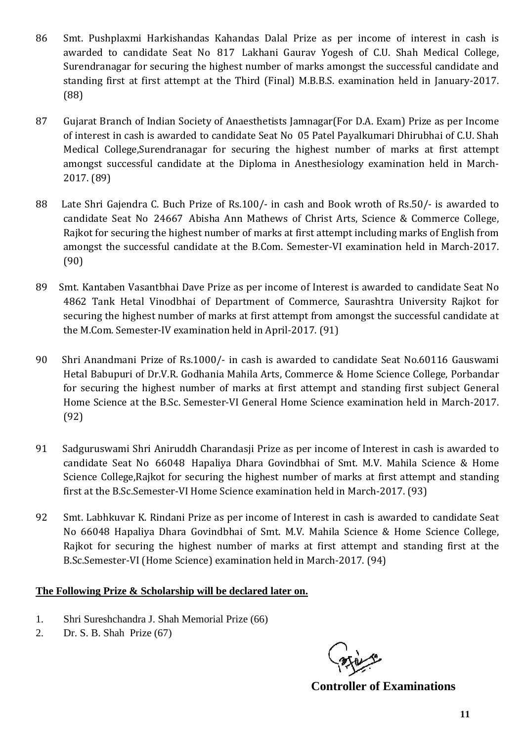- 86 Smt. Pushplaxmi Harkishandas Kahandas Dalal Prize as per income of interest in cash is awarded to candidate Seat No 817 Lakhani Gaurav Yogesh of C.U. Shah Medical College, Surendranagar for securing the highest number of marks amongst the successful candidate and standing first at first attempt at the Third (Final) M.B.B.S. examination held in January-2017. (88)
- 87 Gujarat Branch of Indian Society of Anaesthetists Jamnagar(For D.A. Exam) Prize as per Income of interest in cash is awarded to candidate Seat No 05 Patel Payalkumari Dhirubhai of C.U. Shah Medical College,Surendranagar for securing the highest number of marks at first attempt amongst successful candidate at the Diploma in Anesthesiology examination held in March-2017. (89)
- 88 Late Shri Gajendra C. Buch Prize of Rs.100/- in cash and Book wroth of Rs.50/- is awarded to candidate Seat No 24667 Abisha Ann Mathews of Christ Arts, Science & Commerce College, Rajkot for securing the highest number of marks at first attempt including marks of English from amongst the successful candidate at the B.Com. Semester-VI examination held in March-2017. (90)
- 89 Smt. Kantaben Vasantbhai Dave Prize as per income of Interest is awarded to candidate Seat No 4862 Tank Hetal Vinodbhai of Department of Commerce, Saurashtra University Rajkot for securing the highest number of marks at first attempt from amongst the successful candidate at the M.Com. Semester-IV examination held in April-2017. (91)
- 90 Shri Anandmani Prize of Rs.1000/- in cash is awarded to candidate Seat No.60116 Gauswami Hetal Babupuri of Dr.V.R. Godhania Mahila Arts, Commerce & Home Science College, Porbandar for securing the highest number of marks at first attempt and standing first subject General Home Science at the B.Sc. Semester-VI General Home Science examination held in March-2017. (92)
- 91 Sadguruswami Shri Aniruddh Charandasji Prize as per income of Interest in cash is awarded to candidate Seat No 66048 Hapaliya Dhara Govindbhai of Smt. M.V. Mahila Science & Home Science College,Rajkot for securing the highest number of marks at first attempt and standing first at the B.Sc.Semester-VI Home Science examination held in March-2017. (93)
- 92 Smt. Labhkuvar K. Rindani Prize as per income of Interest in cash is awarded to candidate Seat No 66048 Hapaliya Dhara Govindbhai of Smt. M.V. Mahila Science & Home Science College, Rajkot for securing the highest number of marks at first attempt and standing first at the B.Sc.Semester-VI (Home Science) examination held in March-2017. (94)

## **The Following Prize & Scholarship will be declared later on.**

- 1. Shri Sureshchandra J. Shah Memorial Prize (66)
- 2. Dr. S. B. Shah Prize (67)

**Controller of Examinations**